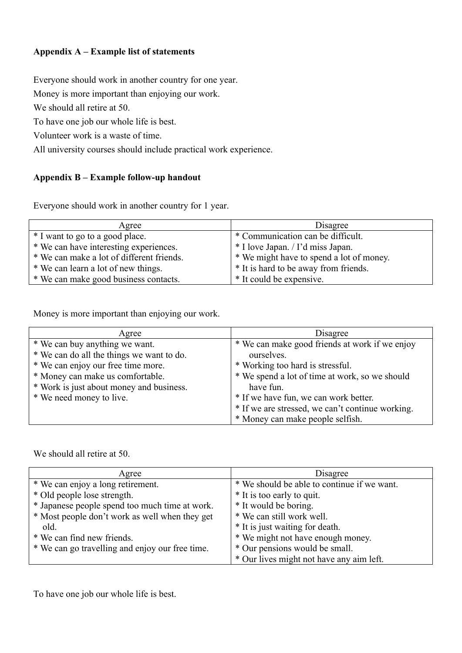## **Appendix A – Example list of statements**

Everyone should work in another country for one year.

Money is more important than enjoying our work.

We should all retire at 50.

To have one job our whole life is best.

Volunteer work is a waste of time.

All university courses should include practical work experience.

## **Appendix B – Example follow-up handout**

Everyone should work in another country for 1 year.

| Agree                                     | Disagree                                 |
|-------------------------------------------|------------------------------------------|
| * I want to go to a good place.           | * Communication can be difficult.        |
| * We can have interesting experiences.    | * I love Japan. / I'd miss Japan.        |
| * We can make a lot of different friends. | * We might have to spend a lot of money. |
| * We can learn a lot of new things.       | * It is hard to be away from friends.    |
| * We can make good business contacts.     | * It could be expensive.                 |

Money is more important than enjoying our work.

| Agree                                     | Disagree                                         |
|-------------------------------------------|--------------------------------------------------|
| * We can buy anything we want.            | * We can make good friends at work if we enjoy   |
| * We can do all the things we want to do. | ourselves.                                       |
| * We can enjoy our free time more.        | * Working too hard is stressful.                 |
| * Money can make us comfortable.          | * We spend a lot of time at work, so we should   |
| * Work is just about money and business.  | have fun.                                        |
| * We need money to live.                  | * If we have fun, we can work better.            |
|                                           | * If we are stressed, we can't continue working. |
|                                           | * Money can make people selfish.                 |

We should all retire at 50.

| Agree                                           | Disagree                                    |
|-------------------------------------------------|---------------------------------------------|
| * We can enjoy a long retirement.               | * We should be able to continue if we want. |
| * Old people lose strength.                     | * It is too early to quit.                  |
| * Japanese people spend too much time at work.  | * It would be boring.                       |
| * Most people don't work as well when they get  | * We can still work well.                   |
| old.                                            | * It is just waiting for death.             |
| * We can find new friends.                      | * We might not have enough money.           |
| * We can go travelling and enjoy our free time. | * Our pensions would be small.              |
|                                                 | * Our lives might not have any aim left.    |

To have one job our whole life is best.